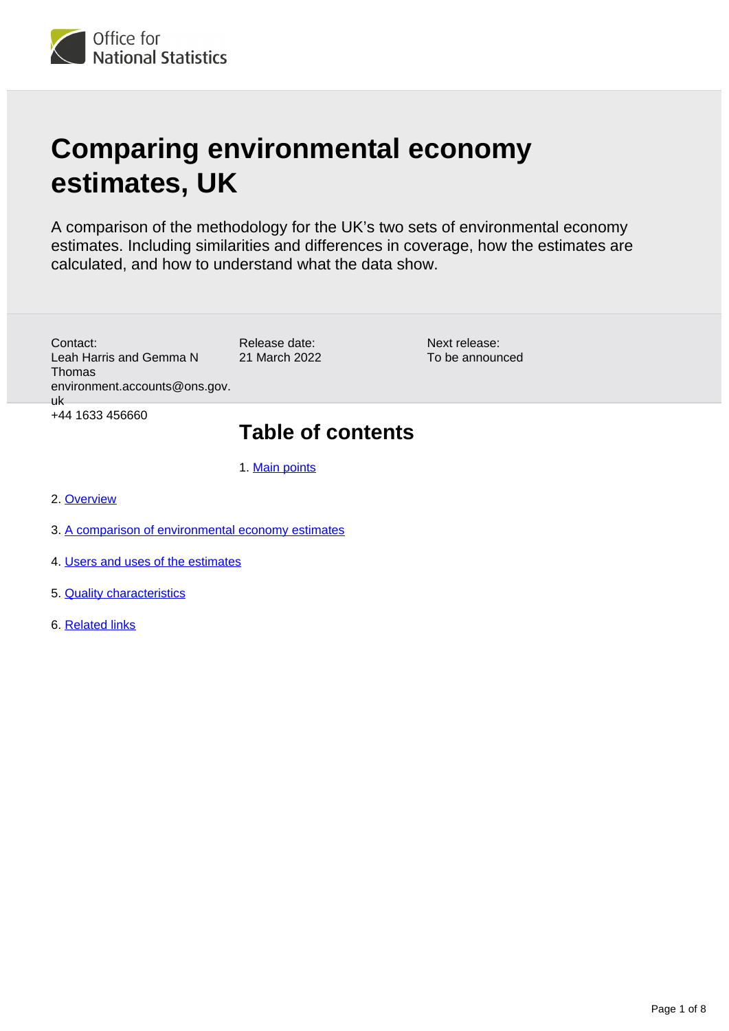

# **Comparing environmental economy estimates, UK**

A comparison of the methodology for the UK's two sets of environmental economy estimates. Including similarities and differences in coverage, how the estimates are calculated, and how to understand what the data show.

> Next release: To be announced

Release date: 21 March 2022 Contact: Leah Harris and Gemma N Thomas environment.accounts@ons.gov. uk +44 1633 456660

## **Table of contents**

1. [Main points](#page-1-0)

- 2. [Overview](#page-1-1)
- 3. [A comparison of environmental economy estimates](#page-1-2)
- 4. [Users and uses of the estimates](#page-4-0)
- 5. [Quality characteristics](#page-5-0)
- 6. [Related links](#page-7-0)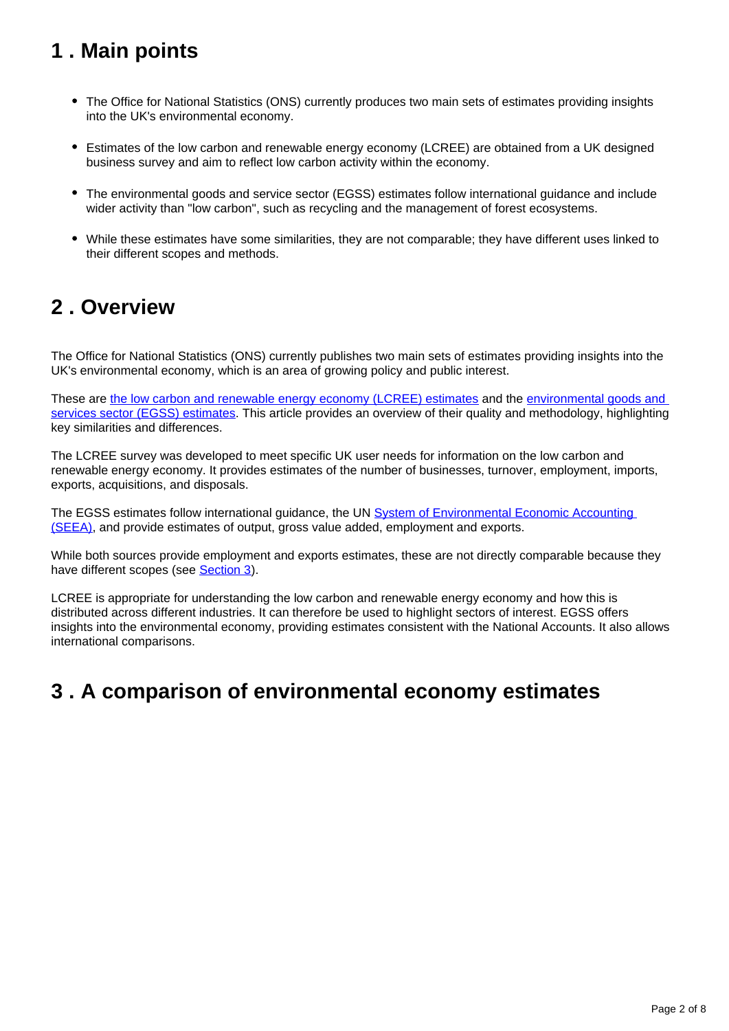### <span id="page-1-0"></span>**1 . Main points**

- The Office for National Statistics (ONS) currently produces two main sets of estimates providing insights into the UK's environmental economy.
- Estimates of the low carbon and renewable energy economy (LCREE) are obtained from a UK designed business survey and aim to reflect low carbon activity within the economy.
- The environmental goods and service sector (EGSS) estimates follow international guidance and include wider activity than "low carbon", such as recycling and the management of forest ecosystems.
- While these estimates have some similarities, they are not comparable; they have different uses linked to their different scopes and methods.

### <span id="page-1-1"></span>**2 . Overview**

The Office for National Statistics (ONS) currently publishes two main sets of estimates providing insights into the UK's environmental economy, which is an area of growing policy and public interest.

These are [the low carbon and renewable energy economy \(LCREE\) estimates](https://www.ons.gov.uk/economy/environmentalaccounts/datasets/lowcarbonandrenewableenergyeconomyfirstestimatesdataset) and the environmental goods and [services sector \(EGSS\) estimates](https://www.ons.gov.uk/economy/environmentalaccounts/datasets/ukenvironmentalgoodsandservicessectoregssestimates). This article provides an overview of their quality and methodology, highlighting key similarities and differences.

The LCREE survey was developed to meet specific UK user needs for information on the low carbon and renewable energy economy. It provides estimates of the number of businesses, turnover, employment, imports, exports, acquisitions, and disposals.

The EGSS estimates follow international guidance, the UN System of Environmental Economic Accounting [\(SEEA\),](https://seea.un.org/) and provide estimates of output, gross value added, employment and exports.

While both sources provide employment and exports estimates, these are not directly comparable because they have different scopes (see [Section 3](https://www.ons.gov.uk/economy/environmentalaccounts/methodologies/comparingenvironmentaleconomyestimatesuk#a-comparison-of-environmental-economy-estimates)).

LCREE is appropriate for understanding the low carbon and renewable energy economy and how this is distributed across different industries. It can therefore be used to highlight sectors of interest. EGSS offers insights into the environmental economy, providing estimates consistent with the National Accounts. It also allows international comparisons.

### <span id="page-1-2"></span>**3 . A comparison of environmental economy estimates**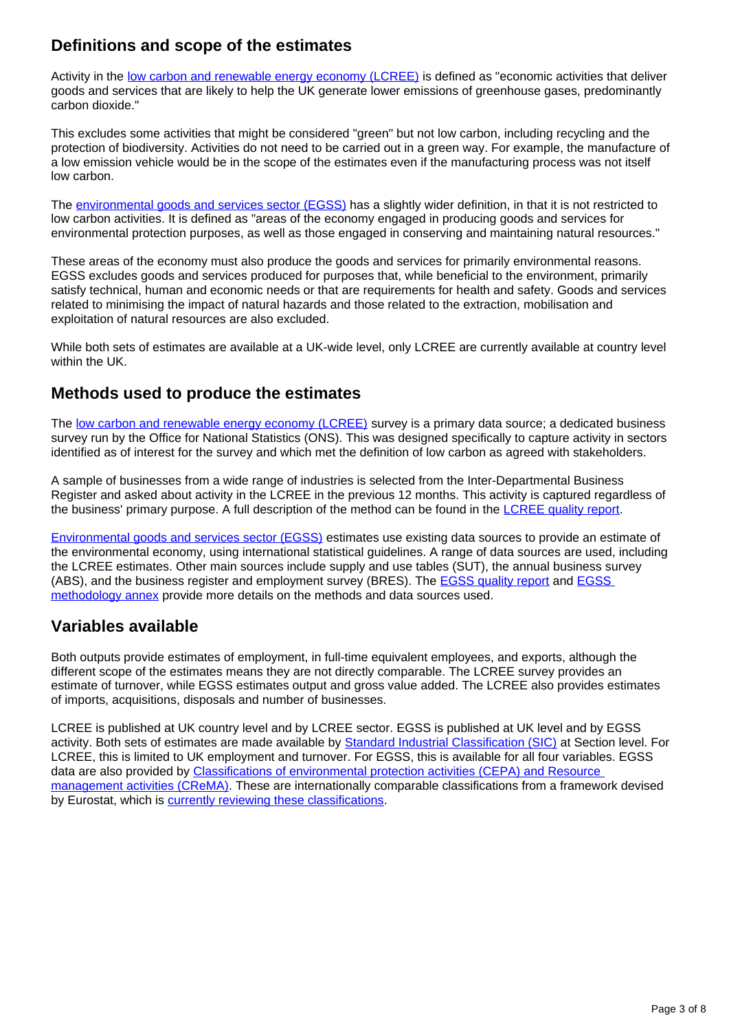#### **Definitions and scope of the estimates**

Activity in the [low carbon and renewable energy economy \(LCREE\)](https://www.ons.gov.uk/economy/environmentalaccounts/datasets/lowcarbonandrenewableenergyeconomyfirstestimatesdataset) is defined as "economic activities that deliver goods and services that are likely to help the UK generate lower emissions of greenhouse gases, predominantly carbon dioxide."

This excludes some activities that might be considered "green" but not low carbon, including recycling and the protection of biodiversity. Activities do not need to be carried out in a green way. For example, the manufacture of a low emission vehicle would be in the scope of the estimates even if the manufacturing process was not itself low carbon.

The [environmental goods and services sector \(EGSS\)](https://www.ons.gov.uk/economy/environmentalaccounts/datasets/ukenvironmentalgoodsandservicessectoregssestimates) has a slightly wider definition, in that it is not restricted to low carbon activities. It is defined as "areas of the economy engaged in producing goods and services for environmental protection purposes, as well as those engaged in conserving and maintaining natural resources."

These areas of the economy must also produce the goods and services for primarily environmental reasons. EGSS excludes goods and services produced for purposes that, while beneficial to the environment, primarily satisfy technical, human and economic needs or that are requirements for health and safety. Goods and services related to minimising the impact of natural hazards and those related to the extraction, mobilisation and exploitation of natural resources are also excluded.

While both sets of estimates are available at a UK-wide level, only LCREE are currently available at country level within the UK.

#### **Methods used to produce the estimates**

The [low carbon and renewable energy economy \(LCREE\)](https://www.ons.gov.uk/economy/environmentalaccounts/datasets/lowcarbonandrenewableenergyeconomyfirstestimatesdataset) survey is a primary data source; a dedicated business survey run by the Office for National Statistics (ONS). This was designed specifically to capture activity in sectors identified as of interest for the survey and which met the definition of low carbon as agreed with stakeholders.

A sample of businesses from a wide range of industries is selected from the Inter-Departmental Business Register and asked about activity in the LCREE in the previous 12 months. This activity is captured regardless of the business' primary purpose. A full description of the method can be found in the [LCREE quality report](https://www.ons.gov.uk/economy/environmentalaccounts/methodologies/lowcarbonandrenewableenergyeconomylcreesurveyqmi).

[Environmental goods and services sector \(EGSS\)](https://www.ons.gov.uk/economy/environmentalaccounts/datasets/ukenvironmentalgoodsandservicessectoregssestimates) estimates use existing data sources to provide an estimate of the environmental economy, using international statistical guidelines. A range of data sources are used, including the LCREE estimates. Other main sources include supply and use tables (SUT), the annual business survey (ABS), and the business register and employment survey (BRES). The [EGSS quality report](https://www.ons.gov.uk/economy/environmentalaccounts/methodologies/environmentalaccountsontheenvironmentalgoodsandservicessectoregssqmi) and [EGSS](https://www.ons.gov.uk/economy/environmentalaccounts/datasets/ukenvironmentalgoodsandservicessectoregssmethodologyannex)  [methodology annex](https://www.ons.gov.uk/economy/environmentalaccounts/datasets/ukenvironmentalgoodsandservicessectoregssmethodologyannex) provide more details on the methods and data sources used.

#### **Variables available**

Both outputs provide estimates of employment, in full-time equivalent employees, and exports, although the different scope of the estimates means they are not directly comparable. The LCREE survey provides an estimate of turnover, while EGSS estimates output and gross value added. The LCREE also provides estimates of imports, acquisitions, disposals and number of businesses.

LCREE is published at UK country level and by LCREE sector. EGSS is published at UK level and by EGSS activity. Both sets of estimates are made available by [Standard Industrial Classification \(SIC\)](https://www.ons.gov.uk/methodology/classificationsandstandards/ukstandardindustrialclassificationofeconomicactivities/uksic2007) at Section level. For LCREE, this is limited to UK employment and turnover. For EGSS, this is available for all four variables. EGSS data are also provided by Classifications of environmental protection activities (CEPA) and Resource [management activities \(CReMA\).](https://ec.europa.eu/eurostat/ramon/nomenclatures/index.cfm?TargetUrl=LST_NOM_DTL&StrNom=CL_CEPAREM&StrLanguageCode=EN&IntPcKey=&StrLayoutCode=HIERARCHIC) These are internationally comparable classifications from a framework devised by Eurostat, which is [currently reviewing these classifications.](https://seea.un.org/events/london-group-environmental-accounting-27th-meeting)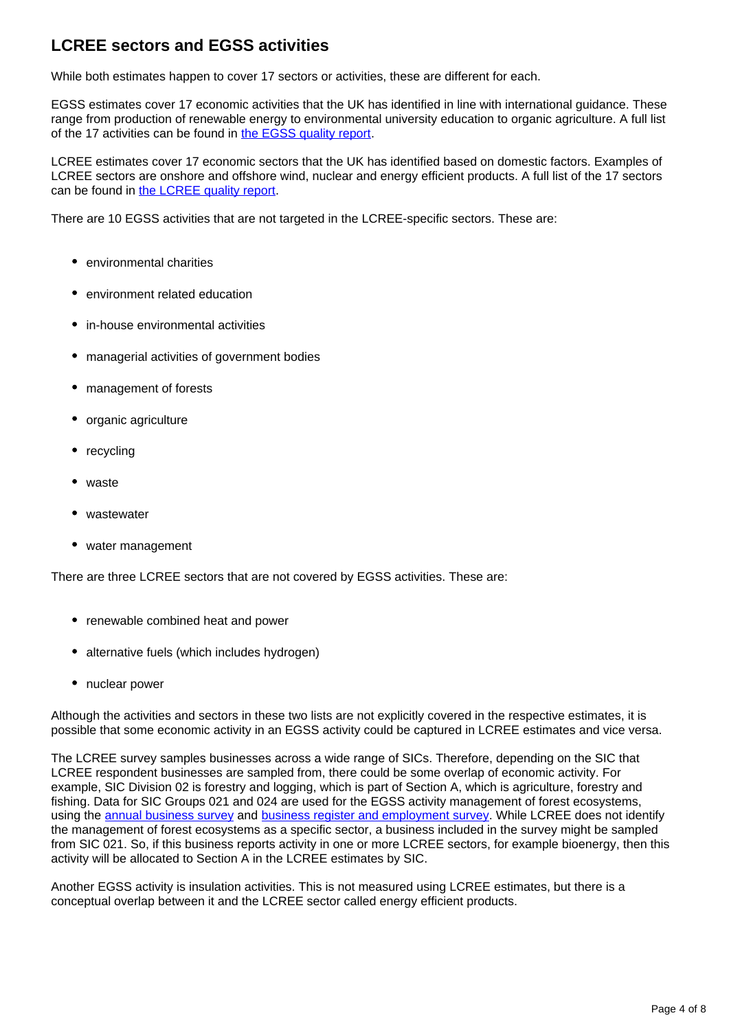#### **LCREE sectors and EGSS activities**

While both estimates happen to cover 17 sectors or activities, these are different for each.

EGSS estimates cover 17 economic activities that the UK has identified in line with international guidance. These range from production of renewable energy to environmental university education to organic agriculture. A full list of the 17 activities can be found in [the EGSS quality report](https://www.ons.gov.uk/economy/environmentalaccounts/methodologies/environmentalaccountsontheenvironmentalgoodsandservicessectoregssqmi).

LCREE estimates cover 17 economic sectors that the UK has identified based on domestic factors. Examples of LCREE sectors are onshore and offshore wind, nuclear and energy efficient products. A full list of the 17 sectors can be found in [the LCREE quality report](https://www.ons.gov.uk/economy/environmentalaccounts/methodologies/lowcarbonandrenewableenergyeconomylcreesurveyqmi).

There are 10 EGSS activities that are not targeted in the LCREE-specific sectors. These are:

- environmental charities
- environment related education
- in-house environmental activities
- managerial activities of government bodies
- management of forests
- organic agriculture
- recycling
- waste
- wastewater
- water management

There are three LCREE sectors that are not covered by EGSS activities. These are:

- renewable combined heat and power
- alternative fuels (which includes hydrogen)
- nuclear power

Although the activities and sectors in these two lists are not explicitly covered in the respective estimates, it is possible that some economic activity in an EGSS activity could be captured in LCREE estimates and vice versa.

The LCREE survey samples businesses across a wide range of SICs. Therefore, depending on the SIC that LCREE respondent businesses are sampled from, there could be some overlap of economic activity. For example, SIC Division 02 is forestry and logging, which is part of Section A, which is agriculture, forestry and fishing. Data for SIC Groups 021 and 024 are used for the EGSS activity management of forest ecosystems, using the [annual business survey](https://www.ons.gov.uk/businessindustryandtrade/business/businessservices/methodologies/annualbusinesssurveyabs) and [business register and employment survey.](https://www.ons.gov.uk/employmentandlabourmarket/peopleinwork/employmentandemployeetypes/methodologies/businessregisteremploymentsurveybresqmi) While LCREE does not identify the management of forest ecosystems as a specific sector, a business included in the survey might be sampled from SIC 021. So, if this business reports activity in one or more LCREE sectors, for example bioenergy, then this activity will be allocated to Section A in the LCREE estimates by SIC.

Another EGSS activity is insulation activities. This is not measured using LCREE estimates, but there is a conceptual overlap between it and the LCREE sector called energy efficient products.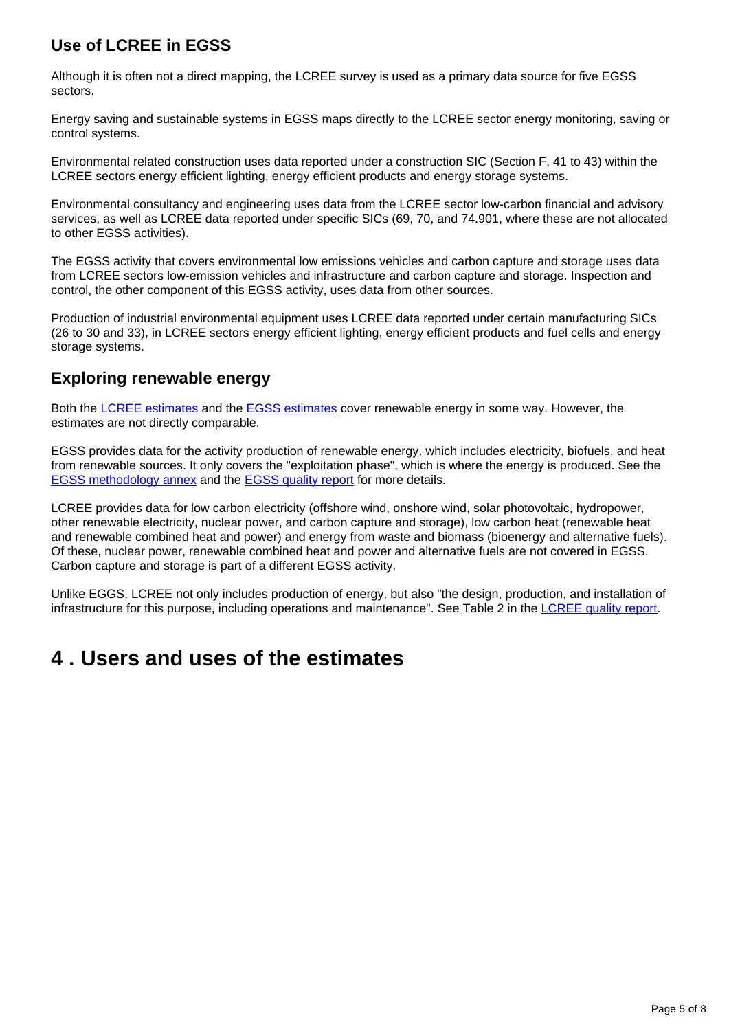### **Use of LCREE in EGSS**

Although it is often not a direct mapping, the LCREE survey is used as a primary data source for five EGSS sectors.

Energy saving and sustainable systems in EGSS maps directly to the LCREE sector energy monitoring, saving or control systems.

Environmental related construction uses data reported under a construction SIC (Section F, 41 to 43) within the LCREE sectors energy efficient lighting, energy efficient products and energy storage systems.

Environmental consultancy and engineering uses data from the LCREE sector low-carbon financial and advisory services, as well as LCREE data reported under specific SICs (69, 70, and 74.901, where these are not allocated to other EGSS activities).

The EGSS activity that covers environmental low emissions vehicles and carbon capture and storage uses data from LCREE sectors low-emission vehicles and infrastructure and carbon capture and storage. Inspection and control, the other component of this EGSS activity, uses data from other sources.

Production of industrial environmental equipment uses LCREE data reported under certain manufacturing SICs (26 to 30 and 33), in LCREE sectors energy efficient lighting, energy efficient products and fuel cells and energy storage systems.

#### **Exploring renewable energy**

Both the [LCREE estimates](https://www.ons.gov.uk/economy/environmentalaccounts/datasets/lowcarbonandrenewableenergyeconomyfirstestimatesdataset) and the [EGSS estimates](https://www.ons.gov.uk/economy/environmentalaccounts/datasets/ukenvironmentalgoodsandservicessectoregssestimates) cover renewable energy in some way. However, the estimates are not directly comparable.

EGSS provides data for the activity production of renewable energy, which includes electricity, biofuels, and heat from renewable sources. It only covers the "exploitation phase", which is where the energy is produced. See the [EGSS methodology annex](https://www.ons.gov.uk/economy/environmentalaccounts/datasets/ukenvironmentalgoodsandservicessectoregssmethodologyannex) and the [EGSS quality report](https://www.ons.gov.uk/economy/environmentalaccounts/methodologies/environmentalaccountsontheenvironmentalgoodsandservicessectoregssqmi) for more details.

LCREE provides data for low carbon electricity (offshore wind, onshore wind, solar photovoltaic, hydropower, other renewable electricity, nuclear power, and carbon capture and storage), low carbon heat (renewable heat and renewable combined heat and power) and energy from waste and biomass (bioenergy and alternative fuels). Of these, nuclear power, renewable combined heat and power and alternative fuels are not covered in EGSS. Carbon capture and storage is part of a different EGSS activity.

Unlike EGGS, LCREE not only includes production of energy, but also "the design, production, and installation of infrastructure for this purpose, including operations and maintenance". See Table 2 in the [LCREE quality report.](https://www.ons.gov.uk/economy/environmentalaccounts/methodologies/lowcarbonandrenewableenergyeconomylcreesurveyqmi)

### <span id="page-4-0"></span>**4 . Users and uses of the estimates**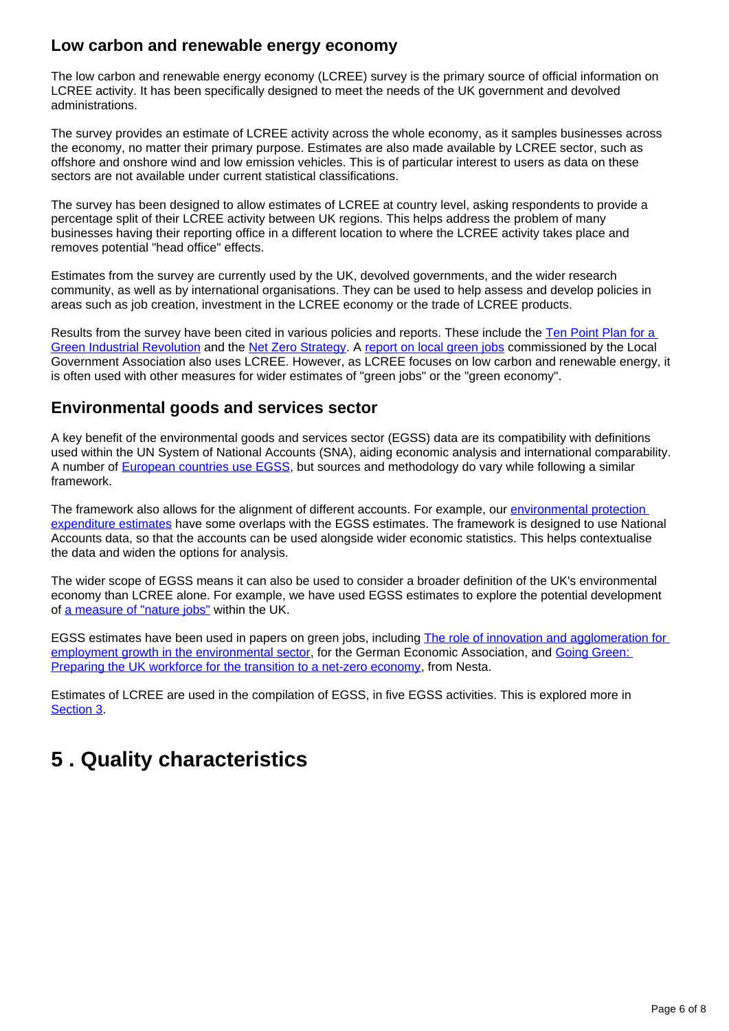#### **Low carbon and renewable energy economy**

The low carbon and renewable energy economy (LCREE) survey is the primary source of official information on LCREE activity. It has been specifically designed to meet the needs of the UK government and devolved administrations.

The survey provides an estimate of LCREE activity across the whole economy, as it samples businesses across the economy, no matter their primary purpose. Estimates are also made available by LCREE sector, such as offshore and onshore wind and low emission vehicles. This is of particular interest to users as data on these sectors are not available under current statistical classifications.

The survey has been designed to allow estimates of LCREE at country level, asking respondents to provide a percentage split of their LCREE activity between UK regions. This helps address the problem of many businesses having their reporting office in a different location to where the LCREE activity takes place and removes potential "head office" effects.

Estimates from the survey are currently used by the UK, devolved governments, and the wider research community, as well as by international organisations. They can be used to help assess and develop policies in areas such as job creation, investment in the LCREE economy or the trade of LCREE products.

Results from the survey have been cited in various policies and reports. These include the [Ten Point Plan for a](https://www.gov.uk/government/publications/the-ten-point-plan-for-a-green-industrial-revolution/title)  [Green Industrial Revolution](https://www.gov.uk/government/publications/the-ten-point-plan-for-a-green-industrial-revolution/title) and the [Net Zero Strategy.](https://www.gov.uk/government/publications/net-zero-strategy) A [report on local green jobs](https://www.local.gov.uk/local-green-jobs-accelerating-sustainable-economic-recovery) commissioned by the Local Government Association also uses LCREE. However, as LCREE focuses on low carbon and renewable energy, it is often used with other measures for wider estimates of "green jobs" or the "green economy".

#### **Environmental goods and services sector**

A key benefit of the environmental goods and services sector (EGSS) data are its compatibility with definitions used within the UN System of National Accounts (SNA), aiding economic analysis and international comparability. A number of [European countries use EGSS,](https://ec.europa.eu/eurostat/statistics-explained/index.php/Environmental_economy_-_employment_and_growth) but sources and methodology do vary while following a similar framework.

The framework also allows for the alignment of different accounts. For example, our environmental protection [expenditure estimates](https://www.ons.gov.uk/economy/environmentalaccounts/bulletins/environmentalprotectionexpenditureuk/latest) have some overlaps with the EGSS estimates. The framework is designed to use National Accounts data, so that the accounts can be used alongside wider economic statistics. This helps contextualise the data and widen the options for analysis.

The wider scope of EGSS means it can also be used to consider a broader definition of the UK's environmental economy than LCREE alone. For example, we have used EGSS estimates to explore the potential development of [a measure of "nature jobs"](https://www.ons.gov.uk/economy/environmentalaccounts/articles/naturejobsusingenvironmentalgoodsandservicessectordata/2019) within the UK.

EGSS estimates have been used in papers on green jobs, including [The role of innovation and agglomeration for](https://ideas.repec.org/p/zbw/vfsc16/145500.html)  [employment growth in the environmental sector,](https://ideas.repec.org/p/zbw/vfsc16/145500.html) for the German Economic Association, and Going Green: [Preparing the UK workforce for the transition to a net-zero economy,](https://www.nesta.org.uk/report/going-green-preparing-uk-workforce-transition-net-zero-economy/) from Nesta.

Estimates of LCREE are used in the compilation of EGSS, in five EGSS activities. This is explored more in [Section 3](https://www.ons.gov.uk/economy/environmentalaccounts/methodologies/comparingenvironmentaleconomyestimatesuk#a-comparison-of-environmental-economy-estimates).

## <span id="page-5-0"></span>**5 . Quality characteristics**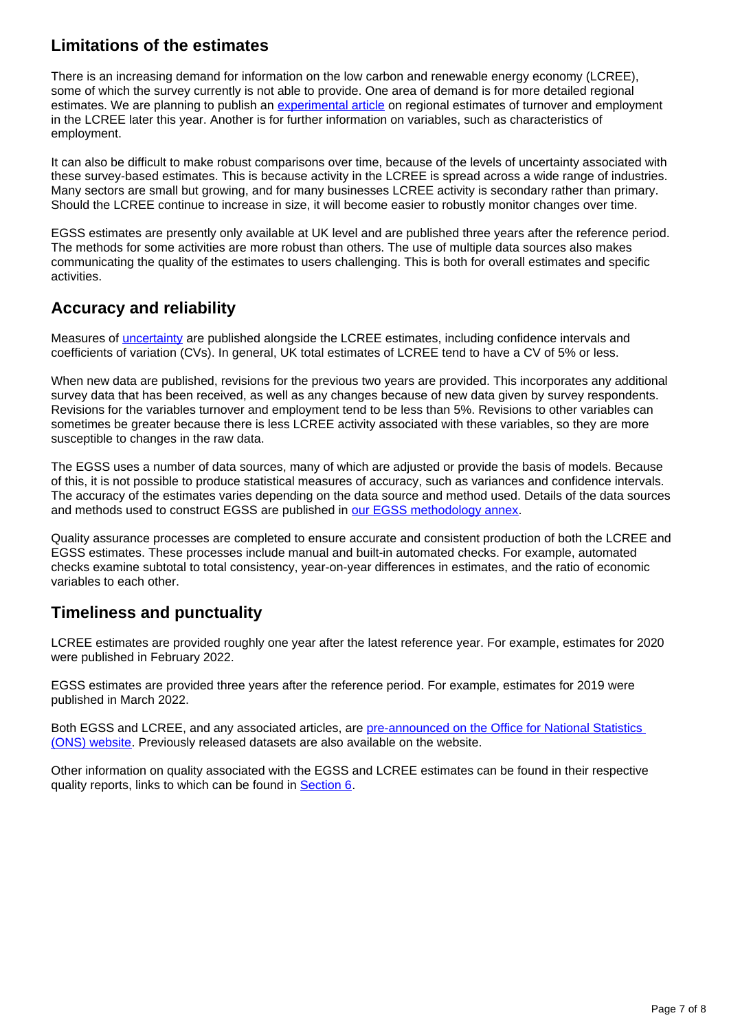#### **Limitations of the estimates**

There is an increasing demand for information on the low carbon and renewable energy economy (LCREE), some of which the survey currently is not able to provide. One area of demand is for more detailed regional estimates. We are planning to publish an [experimental article](https://www.ons.gov.uk/releases/exploringregionalestimatesofactivityinthelowcarbonandrenewableenergyeconomyuk2019and2020) on regional estimates of turnover and employment in the LCREE later this year. Another is for further information on variables, such as characteristics of employment.

It can also be difficult to make robust comparisons over time, because of the levels of uncertainty associated with these survey-based estimates. This is because activity in the LCREE is spread across a wide range of industries. Many sectors are small but growing, and for many businesses LCREE activity is secondary rather than primary. Should the LCREE continue to increase in size, it will become easier to robustly monitor changes over time.

EGSS estimates are presently only available at UK level and are published three years after the reference period. The methods for some activities are more robust than others. The use of multiple data sources also makes communicating the quality of the estimates to users challenging. This is both for overall estimates and specific activities.

#### **Accuracy and reliability**

Measures of [uncertainty](https://www.ons.gov.uk/methodology/methodologytopicsandstatisticalconcepts/uncertaintyandhowwemeasureit) are published alongside the LCREE estimates, including confidence intervals and coefficients of variation (CVs). In general, UK total estimates of LCREE tend to have a CV of 5% or less.

When new data are published, revisions for the previous two years are provided. This incorporates any additional survey data that has been received, as well as any changes because of new data given by survey respondents. Revisions for the variables turnover and employment tend to be less than 5%. Revisions to other variables can sometimes be greater because there is less LCREE activity associated with these variables, so they are more susceptible to changes in the raw data.

The EGSS uses a number of data sources, many of which are adjusted or provide the basis of models. Because of this, it is not possible to produce statistical measures of accuracy, such as variances and confidence intervals. The accuracy of the estimates varies depending on the data source and method used. Details of the data sources and methods used to construct EGSS are published in [our EGSS methodology annex.](https://www.ons.gov.uk/economy/environmentalaccounts/datasets/ukenvironmentalgoodsandservicessectoregssmethodologyannex)

Quality assurance processes are completed to ensure accurate and consistent production of both the LCREE and EGSS estimates. These processes include manual and built-in automated checks. For example, automated checks examine subtotal to total consistency, year-on-year differences in estimates, and the ratio of economic variables to each other.

#### **Timeliness and punctuality**

LCREE estimates are provided roughly one year after the latest reference year. For example, estimates for 2020 were published in February 2022.

EGSS estimates are provided three years after the reference period. For example, estimates for 2019 were published in March 2022.

Both EGSS and LCREE, and any associated articles, are [pre-announced on the Office for National Statistics](https://www.ons.gov.uk/releasecalendar)  [\(ONS\) website.](https://www.ons.gov.uk/releasecalendar) Previously released datasets are also available on the website.

Other information on quality associated with the EGSS and LCREE estimates can be found in their respective quality reports, links to which can be found in [Section 6.](https://www.ons.gov.uk/economy/environmentalaccounts/methodologies/comparingenvironmentaleconomyestimatesuk#related-links)